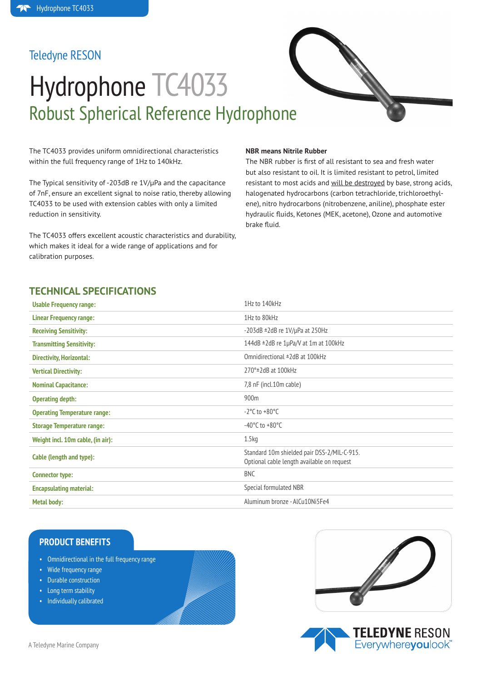### Teledyne RESON

# Hydrophone TC4033 Robust Spherical Reference Hydrophone

The TC4033 provides uniform omnidirectional characteristics within the full frequency range of 1Hz to 140kHz.

The Typical sensitivity of -203dB re 1V/µPa and the capacitance of 7nF, ensure an excellent signal to noise ratio, thereby allowing TC4033 to be used with extension cables with only a limited reduction in sensitivity.

The TC4033 offers excellent acoustic characteristics and durability, which makes it ideal for a wide range of applications and for calibration purposes.

#### **NBR means Nitrile Rubber**

The NBR rubber is first of all resistant to sea and fresh water but also resistant to oil. It is limited resistant to petrol, limited resistant to most acids and will be destroyed by base, strong acids, halogenated hydrocarbons (carbon tetrachloride, trichloroethylene), nitro hydrocarbons (nitrobenzene, aniline), phosphate ester hydraulic fluids, Ketones (MEK, acetone), Ozone and automotive brake fluid.

### **TECHNICAL SPECIFICATIONS**

| <b>Usable Frequency range:</b>      | 1Hz to 140kHz                                                                             |
|-------------------------------------|-------------------------------------------------------------------------------------------|
| <b>Linear Frequency range:</b>      | 1Hz to 80kHz                                                                              |
| <b>Receiving Sensitivity:</b>       | $-203dB \pm 2dB$ re $1V/\mu$ Pa at 250Hz                                                  |
| <b>Transmitting Sensitivity:</b>    | 144dB ±2dB re 1µPa/V at 1m at 100kHz                                                      |
| <b>Directivity, Horizontal:</b>     | Omnidirectional ±2dB at 100kHz                                                            |
| <b>Vertical Directivity:</b>        | $270°$ ± 2dB at 100kHz                                                                    |
| <b>Nominal Capacitance:</b>         | 7,8 nF (incl.10m cable)                                                                   |
| <b>Operating depth:</b>             | 900m                                                                                      |
| <b>Operating Temperature range:</b> | $-2^{\circ}$ C to $+80^{\circ}$ C                                                         |
| <b>Storage Temperature range:</b>   | $-40^{\circ}$ C to $+80^{\circ}$ C                                                        |
| Weight incl. 10m cable, (in air):   | 1.5 <sub>kq</sub>                                                                         |
| Cable (length and type):            | Standard 10m shielded pair DSS-2/MIL-C-915.<br>Optional cable length available on request |
| <b>Connector type:</b>              | <b>BNC</b>                                                                                |
| <b>Encapsulating material:</b>      | Special formulated NBR                                                                    |
| <b>Metal body:</b>                  | Aluminum bronze - AlCu10Ni5Fe4                                                            |

#### **PRODUCT BENEFITS**

- Omnidirectional in the full frequency range
- Wide frequency range
- • Durable construction
- Long term stability
- Individually calibrated





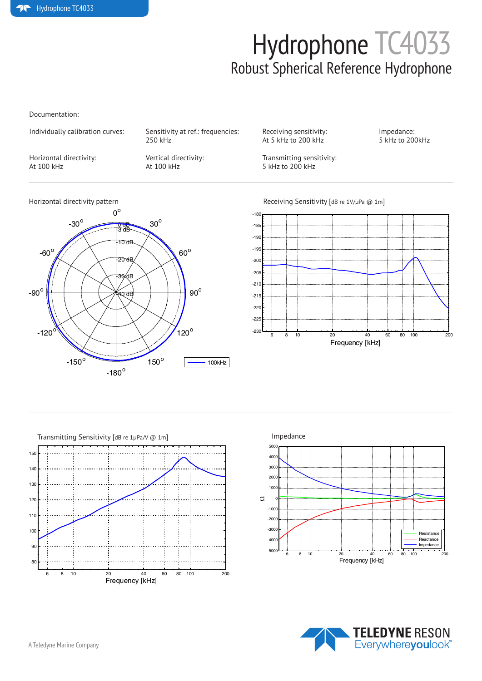## Hydrophone TC4033 Robust Spherical Reference Hydrophone

Receiving Sensitivity [dB re 1V/µPa @ 1m]

Documentation:

Individually calibration curves: Sensitivity at ref.: frequencies: Receiving sensitivity: Impedance: 250 kHz **At 5 kHz to 200 kHz 5 kHz to 200 kHz** 

Horizontal directivity pattern  $-150^\circ$  $-120$  $-60^\circ$  $-30^\circ$  $0^{\circ}$  $30^\circ$  $60^\circ$  $90^\circ$  $120^\circ$  $150^\circ$ 0 dB -3 dB  $10M$ .<br>20 dB  $\overline{AB}$ 40 dE 100kHz

Horizontal directivity:  $V$ ertical directivity:  $V$ ertical directivity:  $V$  Transmitting sensitivity:  $V$  At 100 kHz  $V$  5 kHz to 200 kHz  $5$  kHz to 200 kHz

> $-185$  $-180$

![](_page_1_Figure_11.jpeg)

![](_page_1_Picture_12.jpeg)

Resistand Reactance Impedance